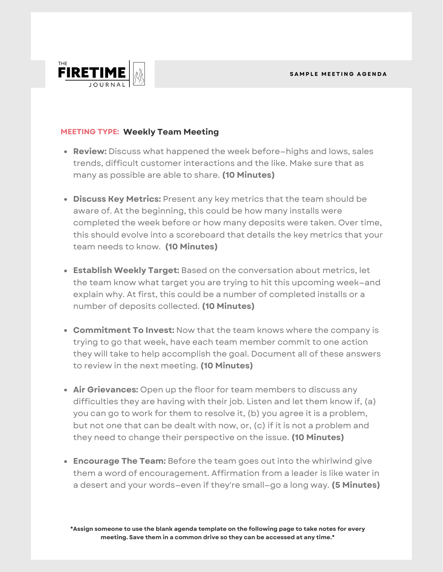

## **MEETING TYPE: Weekly Team Meeting**

- **Review:** Discuss what happened the week before—highs and lows, sales trends, difficult customer interactions and the like. Make sure that as many as possible are able to share. **(10 Minutes)**
- **Discuss Key Metrics:** Present any key metrics that the team should be aware of. At the beginning, this could be how many installs were completed the week before or how many deposits were taken. Over time, this should evolve into a scoreboard that details the key metrics that your team needs to know. **(10 Minutes)**
- **Establish Weekly Target:** Based on the conversation about metrics, let the team know what target you are trying to hit this upcoming week—and explain why. At first, this could be a number of completed installs or a number of deposits collected. **(10 Minutes)**
- **Commitment To Invest:** Now that the team knows where the company is trying to go that week, have each team member commit to one action they will take to help accomplish the goal. Document all of these answers to review in the next meeting. **(10 Minutes)**
- **Air Grievances:** Open up the floor for team members to discuss any difficulties they are having with their job. Listen and let them know if, (a) you can go to work for them to resolve it, (b) you agree it is a problem, but not one that can be dealt with now, or, (c) if it is not a problem and they need to change their perspective on the issue. **(10 Minutes)**
- **Encourage The Team:** Before the team goes out into the whirlwind give them a word of encouragement. Affirmation from a leader is like water in a desert and your words—even if they're small—go a long way. **(5 Minutes)**

**\*Assign someone to use the blank agenda template on the following page to take notes for every meeting. Save them in a common drive so they can be accessed at any time.\***